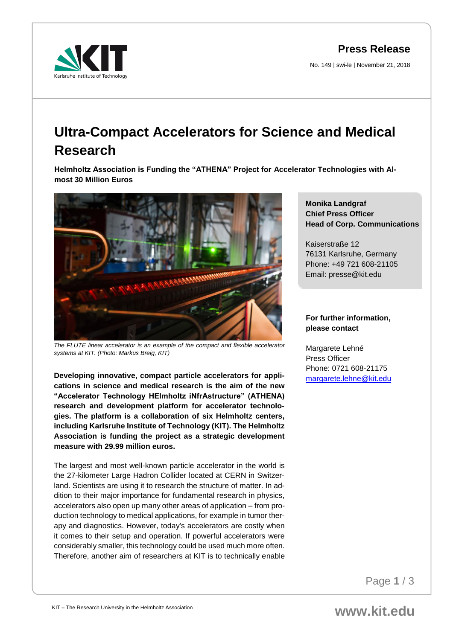**Press Release**

No. 149 | swi-le | November 21, 2018



## **Ultra-Compact Accelerators for Science and Medical Research**

**Helmholtz Association is Funding the "ATHENA" Project for Accelerator Technologies with Almost 30 Million Euros**



*The FLUTE linear accelerator is an example of the compact and flexible accelerator systems at KIT. (Photo: Markus Breig, KIT)* 

**Developing innovative, compact particle accelerators for applications in science and medical research is the aim of the new "Accelerator Technology HElmholtz iNfrAstructure" (ATHENA) research and development platform for accelerator technologies. The platform is a collaboration of six Helmholtz centers, including Karlsruhe Institute of Technology (KIT). The Helmholtz Association is funding the project as a strategic development measure with 29.99 million euros.**

The largest and most well-known particle accelerator in the world is the 27-kilometer Large Hadron Collider located at CERN in Switzerland. Scientists are using it to research the structure of matter. In addition to their major importance for fundamental research in physics, accelerators also open up many other areas of application – from production technology to medical applications, for example in tumor therapy and diagnostics. However, today's accelerators are costly when it comes to their setup and operation. If powerful accelerators were considerably smaller, this technology could be used much more often. Therefore, another aim of researchers at KIT is to technically enable

## **Monika Landgraf Chief Press Officer Head of Corp. Communications**

Kaiserstraße 12 76131 Karlsruhe, Germany Phone: +49 721 608-21105 Email: presse@kit.edu

## **For further information, please contact**

Margarete Lehné Press Officer Phone: 0721 608-21175 [margarete.lehne@kit.edu](mailto:margarete.lehne@kit.edu)

Page **1** / 3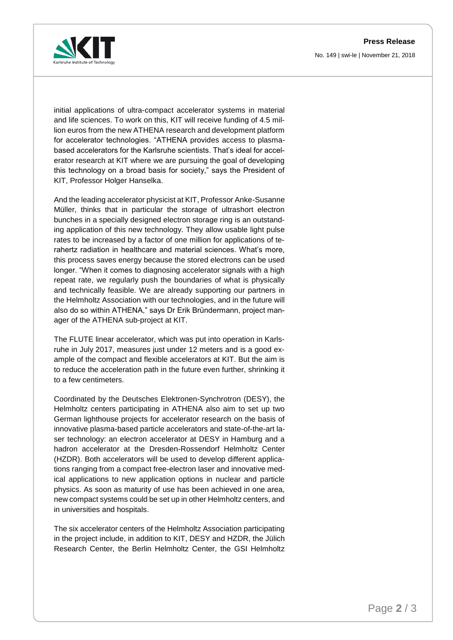**Press Release** No. 149 | swi-le | November 21, 2018



initial applications of ultra-compact accelerator systems in material and life sciences. To work on this, KIT will receive funding of 4.5 million euros from the new ATHENA research and development platform for accelerator technologies. "ATHENA provides access to plasmabased accelerators for the Karlsruhe scientists. That's ideal for accelerator research at KIT where we are pursuing the goal of developing this technology on a broad basis for society," says the President of KIT, Professor Holger Hanselka.

And the leading accelerator physicist at KIT, Professor Anke-Susanne Müller, thinks that in particular the storage of ultrashort electron bunches in a specially designed electron storage ring is an outstanding application of this new technology. They allow usable light pulse rates to be increased by a factor of one million for applications of terahertz radiation in healthcare and material sciences. What's more, this process saves energy because the stored electrons can be used longer. "When it comes to diagnosing accelerator signals with a high repeat rate, we regularly push the boundaries of what is physically and technically feasible. We are already supporting our partners in the Helmholtz Association with our technologies, and in the future will also do so within ATHENA," says Dr Erik Bründermann, project manager of the ATHENA sub-project at KIT.

The FLUTE linear accelerator, which was put into operation in Karlsruhe in July 2017, measures just under 12 meters and is a good example of the compact and flexible accelerators at KIT. But the aim is to reduce the acceleration path in the future even further, shrinking it to a few centimeters.

Coordinated by the Deutsches Elektronen-Synchrotron (DESY), the Helmholtz centers participating in ATHENA also aim to set up two German lighthouse projects for accelerator research on the basis of innovative plasma-based particle accelerators and state-of-the-art laser technology: an electron accelerator at DESY in Hamburg and a hadron accelerator at the Dresden-Rossendorf Helmholtz Center (HZDR). Both accelerators will be used to develop different applications ranging from a compact free-electron laser and innovative medical applications to new application options in nuclear and particle physics. As soon as maturity of use has been achieved in one area, new compact systems could be set up in other Helmholtz centers, and in universities and hospitals.

The six accelerator centers of the Helmholtz Association participating in the project include, in addition to KIT, DESY and HZDR, the Jülich Research Center, the Berlin Helmholtz Center, the GSI Helmholtz